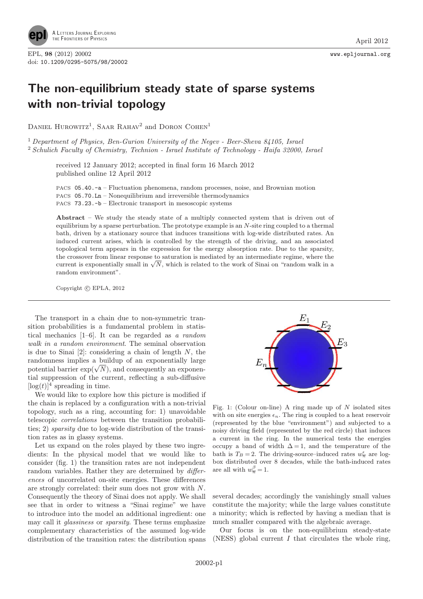

## The non-equilibrium steady state of sparse systems with non-trivial topology

DANIEL HUROWITZ<sup>1</sup>, SAAR RAHAV<sup>2</sup> and DORON COHEN<sup>1</sup>

<sup>1</sup> Department of Physics, Ben-Gurion University of the Negev - Beer-Sheva 84105, Israel <sup>2</sup> Schulich Faculty of Chemistry, Technion - Israel Institute of Technology - Haifa 32000, Israel

received 12 January 2012; accepted in final form 16 March 2012 published online 12 April 2012

PACS 05.40.-a – Fluctuation phenomena, random processes, noise, and Brownian motion PACS 05.70.Ln – Nonequilibrium and irreversible thermodynamics PACS 73.23.-b – Electronic transport in mesoscopic systems

Abstract – We study the steady state of a multiply connected system that is driven out of equilibrium by a sparse perturbation. The prototype example is an  $N$ -site ring coupled to a thermal bath, driven by a stationary source that induces transitions with log-wide distributed rates. An induced current arises, which is controlled by the strength of the driving, and an associated topological term appears in the expression for the energy absorption rate. Due to the sparsity, the crossover from linear response to saturation is mediated by an intermediate regime, where the current is exponentially small in  $\sqrt{N}$ , which is related to the work of Sinai on "random walk in a random environment".

Copyright  $\odot$  EPLA, 2012

The transport in a chain due to non-symmetric transition probabilities is a fundamental problem in statistical mechanics [1–6]. It can be regarded as a random walk in a random environment. The seminal observation is due to Sinai  $[2]$ : considering a chain of length N, the randomness implies a buildup of an exponentially large potential barrier  $\exp(\sqrt{N})$ , and consequently an exponential suppression of the current, reflecting a sub-diffusive  $[\log(t)]^4$  spreading in time.

We would like to explore how this picture is modified if the chain is replaced by a configuration with a non-trivial topology, such as a ring, accounting for: 1) unavoidable telescopic correlations between the transition probabilities; 2) sparsity due to log-wide distribution of the transition rates as in glassy systems.

Let us expand on the roles played by these two ingredients: In the physical model that we would like to consider (fig. 1) the transition rates are not independent random variables. Rather they are determined by differences of uncorrelated on-site energies. These differences are strongly correlated: their sum does not grow with N. Consequently the theory of Sinai does not apply. We shall see that in order to witness a "Sinai regime" we have to introduce into the model an additional ingredient: one may call it glassiness or sparsity. These terms emphasize complementary characteristics of the assumed log-wide distribution of the transition rates: the distribution spans



Fig. 1: (Colour on-line) A ring made up of  $N$  isolated sites with on site energies  $\epsilon_n$ . The ring is coupled to a heat reservoir (represented by the blue "environment") and subjected to a noisy driving field (represented by the red circle) that induces a current in the ring. In the numerical tests the energies occupy a band of width  $\Delta = 1$ , and the temperature of the bath is  $T_B = 2$ . The driving-source-induced rates  $w_{\overline{n}}^{\epsilon}$  are logbox distributed over 8 decades, while the bath-induced rates are all with  $w_{\overline{n}}^{\beta} = 1$ .

several decades; accordingly the vanishingly small values constitute the majority; while the large values constitute a minority; which is reflected by having a median that is much smaller compared with the algebraic average.

Our focus is on the non-equilibrium steady-state (NESS) global current  $I$  that circulates the whole ring,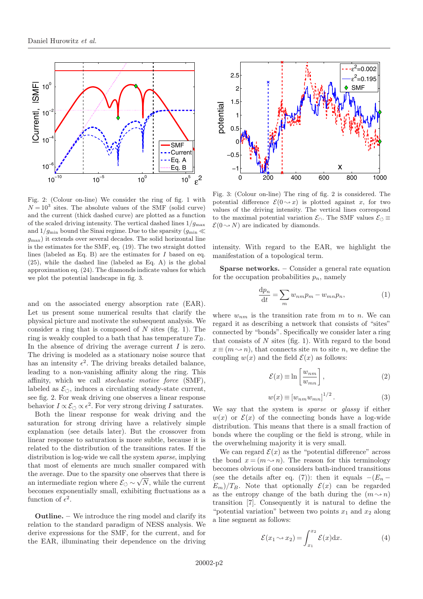

Fig. 2: (Colour on-line) We consider the ring of fig. 1 with  $N = 10<sup>3</sup>$  sites. The absolute values of the SMF (solid curve) and the current (thick dashed curve) are plotted as a function of the scaled driving intensity. The vertical dashed lines  $1/q_{\text{max}}$ and  $1/g_{\text{min}}$  bound the Sinai regime. Due to the sparsity  $(g_{\text{min}} \ll$  $g_{\text{max}}$ ) it extends over several decades. The solid horizontal line is the estimates for the SMF, eq. (19). The two straight dotted lines (labeled as Eq. B) are the estimates for  $I$  based on eq. (25), while the dashed line (labeled as Eq. A) is the global approximation eq. (24). The diamonds indicate values for which we plot the potential landscape in fig. 3.

and on the associated energy absorption rate (EAR). Let us present some numerical results that clarify the physical picture and motivate the subsequent analysis. We consider a ring that is composed of  $N$  sites (fig. 1). The ring is weakly coupled to a bath that has temperature  $T_B$ . In the absence of driving the average current  $I$  is zero. The driving is modeled as a stationary noise source that has an intensity  $\epsilon^2$ . The driving breaks detailed balance, leading to a non-vanishing affinity along the ring. This affinity, which we call stochastic motive force (SMF), labeled as  $\mathcal{E}_{\circlearrowleft}$ , induces a circulating steady-state current, see fig. 2. For weak driving one observes a linear response behavior  $I \propto \mathcal{E}_{\circlearrowleft} \propto \epsilon^2$ . For very strong driving I saturates.

Both the linear response for weak driving and the saturation for strong driving have a relatively simple explanation (see details later). But the crossover from linear response to saturation is more subtle, because it is related to the distribution of the transitions rates. If the distribution is log-wide we call the system sparse, implying that most of elements are much smaller compared with the average. Due to the sparsity one observes that there is an intermediate region where  $\mathcal{E}_{\circlearrowleft} \sim$  $\sqrt{N}$ , while the current becomes exponentially small, exhibiting fluctuations as a function of  $\epsilon^2$ .

Outline. – We introduce the ring model and clarify its relation to the standard paradigm of NESS analysis. We derive expressions for the SMF, for the current, and for the EAR, illuminating their dependence on the driving



Fig. 3: (Colour on-line) The ring of fig. 2 is considered. The potential difference  $\mathcal{E}(0 \rightarrow x)$  is plotted against x, for two values of the driving intensity. The vertical lines correspond to the maximal potential variation  $\mathcal{E}_{\bigcap}$ . The SMF values  $\mathcal{E}_{\bigcirc}$  $\mathcal{E}(0 \rightarrow N)$  are indicated by diamonds.

intensity. With regard to the EAR, we highlight the manifestation of a topological term.

Sparse networks. – Consider a general rate equation for the occupation probabilities  $p_n$ , namely

$$
\frac{\mathrm{d}p_n}{\mathrm{d}t} = \sum_m w_{nm}p_m - w_{mn}p_n,\tag{1}
$$

where  $w_{nm}$  is the transition rate from m to n. We can regard it as describing a network that consists of "sites" connected by "bonds". Specifically we consider later a ring that consists of  $N$  sites (fig. 1). With regard to the bond  $x \equiv (m \rightarrow n)$ , that connects site m to site n, we define the coupling  $w(x)$  and the field  $\mathcal{E}(x)$  as follows:

$$
\mathcal{E}(x) \equiv \ln\left[\frac{w_{nm}}{w_{mn}}\right],\tag{2}
$$

$$
w(x) \equiv [w_{nm} w_{mn}]^{1/2} . \tag{3}
$$

We say that the system is *sparse* or *glassy* if either  $w(x)$  or  $\mathcal{E}(x)$  of the connecting bonds have a log-wide distribution. This means that there is a small fraction of bonds where the coupling or the field is strong, while in the overwhelming majority it is very small.

We can regard  $\mathcal{E}(x)$  as the "potential difference" across the bond  $x = (m \rightarrow n)$ . The reason for this terminology becomes obvious if one considers bath-induced transitions (see the details after eq. (7)): then it equals  $-(E_n E_m$ /T<sub>B</sub>. Note that optionally  $\mathcal{E}(x)$  can be regarded as the entropy change of the bath during the  $(m \rightarrow n)$ transition [7]. Consequently it is natural to define the "potential variation" between two points  $x_1$  and  $x_2$  along a line segment as follows:

$$
\mathcal{E}(x_1 \rightsquigarrow x_2) = \int_{x_1}^{x_2} \mathcal{E}(x) dx.
$$
 (4)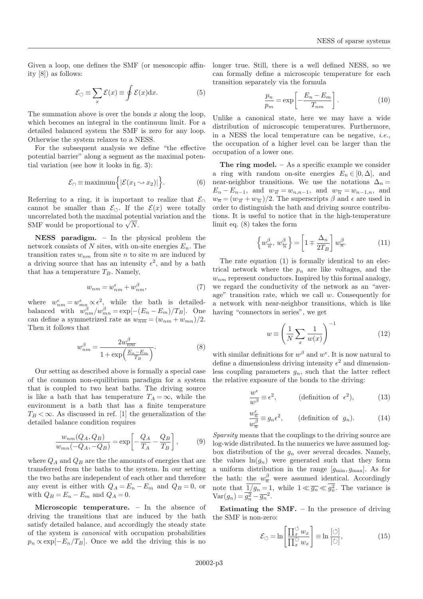Given a loop, one defines the SMF (or mesoscopic affinity [8]) as follows:

$$
\mathcal{E}_{\circlearrowleft} \equiv \sum_{x} \mathcal{E}(x) \equiv \oint \mathcal{E}(x) \mathrm{d}x. \tag{5}
$$

The summation above is over the bonds  $x$  along the loop, which becomes an integral in the continuum limit. For a detailed balanced system the SMF is zero for any loop. Otherwise the system relaxes to a NESS.

For the subsequent analysis we define "the effective potential barrier" along a segment as the maximal potential variation (see how it looks in fig. 3):

$$
\mathcal{E}_{\cap} \equiv \text{maximum} \Big\{ |\mathcal{E}(x_1 \sim x_2)| \Big\}. \tag{6}
$$

Referring to a ring, it is important to realize that  $\mathcal{E}_{\cap}$ cannot be smaller than  $\mathcal{E}_{\circlearrowleft}$ . If the  $\mathcal{E}(x)$  were totally uncorrelated both the maximal potential variation and the SMF would be proportional to  $\sqrt{N}$ .

NESS paradigm. – In the physical problem the network consists of N sites, with on-site energies  $E_n$ . The transition rates  $w_{nm}$  from site n to site m are induced by a driving source that has an intensity  $\epsilon^2$ , and by a bath that has a temperature  $T_B$ . Namely,

$$
w_{nm} = w_{nm}^{\epsilon} + w_{nm}^{\beta},\tag{7}
$$

where  $w_{nm}^{\epsilon} = w_{mn}^{\epsilon} \propto \epsilon^2$ , while the bath is detailedbalanced with  $w_{nm}^{\beta}/w_{mn}^{\beta} = \exp[-(E_n - E_m)/T_B]$ . One can define a symmetrized rate as  $w_{\overline{nm}} = (w_{nm} + w_{mn})/2$ . Then it follows that

$$
w_{nm}^{\beta} = \frac{2w_{nm}^{\beta}}{1 + \exp\left(\frac{E_n - E_m}{T_B}\right)}.
$$
\n(8)

Our setting as described above is formally a special case of the common non-equilibrium paradigm for a system that is coupled to two heat baths. The driving source is like a bath that has temperature  $T_A = \infty$ , while the environment is a bath that has a finite temperature  $T_B < \infty$ . As discussed in ref. [1] the generalization of the detailed balance condition requires

$$
\frac{w_{nm}(Q_A, Q_B)}{w_{mn}(-Q_A, -Q_B)} = \exp\left[-\frac{Q_A}{T_A} - \frac{Q_B}{T_B}\right],\tag{9}
$$

where  $Q_A$  and  $Q_B$  are the the amounts of energies that are transferred from the baths to the system. In our setting the two baths are independent of each other and therefore any event is either with  $Q_A = E_n - E_m$  and  $Q_B = 0$ , or with  $Q_B = E_n - E_m$  and  $Q_A = 0$ .

Microscopic temperature. – In the absence of driving the transitions that are induced by the bath satisfy detailed balance, and accordingly the steady state of the system is canonical with occupation probabilities  $p_n \propto \exp[-E_n/T_B]$ . Once we add the driving this is no longer true. Still, there is a well defined NESS, so we can formally define a microscopic temperature for each transition separately via the formula

$$
\frac{p_n}{p_m} = \exp\left[-\frac{E_n - E_m}{T_{nm}}\right].\tag{10}
$$

Unlike a canonical state, here we may have a wide distribution of microscopic temperatures. Furthermore, in a NESS the local temperature can be negative, i.e., the occupation of a higher level can be larger than the occupation of a lower one.

The ring model.  $-$  As a specific example we consider a ring with random on-site energies  $E_n \in [0, \Delta]$ , and near-neighbor transitions. We use the notations  $\Delta_n =$  $E_n - E_{n-1}$ , and  $w_{\overrightarrow{n}} = w_{n,n-1}$ , and  $w_{\overleftarrow{n}} = w_{n-1,n}$ , and  $w_{\overline{n}} = (w_{\overline{n}} + w_{\overline{n}})/2$ . The superscripts  $\beta$  and  $\epsilon$  are used in order to distinguish the bath and driving source contributions. It is useful to notice that in the high-temperature limit eq. (8) takes the form

$$
\left\{ w_{\overrightarrow{n}}^{\beta}, w_{\overleftarrow{n}}^{\beta} \right\} = \left[ 1 \mp \frac{\Delta_n}{2T_B} \right] w_{\overrightarrow{n}}^{\beta}.
$$
 (11)

The rate equation (1) is formally identical to an electrical network where the  $p_n$  are like voltages, and the  $w_{nm}$  represent conductors. Inspired by this formal analogy, we regard the conductivity of the network as an "average" transition rate, which we call  $w$ . Consequently for a network with near-neighbor transitions, which is like having "connectors in series", we get

$$
w \equiv \left(\frac{1}{N} \sum_{x} \frac{1}{w(x)}\right)^{-1} \tag{12}
$$

with similar definitions for  $w^{\beta}$  and  $w^{\epsilon}$ . It is now natural to define a dimensionless driving intensity  $\epsilon^2$  and dimensionless coupling parameters  $g_n$ , such that the latter reflect the relative exposure of the bonds to the driving:

$$
\frac{w^{\epsilon}}{w^{\beta}} \equiv \epsilon^2, \qquad \text{(definition of } \epsilon^2), \tag{13}
$$

$$
\frac{w_{\overline{n}}^{\epsilon}}{w_{\overline{n}}^{\beta}} \equiv g_n \epsilon^2, \qquad \text{(definition of } g_n). \tag{14}
$$

Sparsity means that the couplings to the driving source are log-wide distributed. In the numerics we have assumed logbox distribution of the  $g_n$  over several decades. Namely, the values  $\ln(g_n)$  were generated such that they form a uniform distribution in the range  $[g_{\min}, g_{\max}]$ . As for the bath: the  $w_{\overline{n}}^{\beta}$  were assumed identical. Accordingly note that  $\frac{1}{g_n} = 1$ , while  $1 \ll \overline{g_n} \ll g_n^2$ . The variance is  $\text{Var}(g_n) = \overline{g_n^2} - \overline{g_n}^2.$ 

**Estimating the SMF.**  $-$  In the presence of driving the SMF is non-zero:

$$
\mathcal{E}_{\circlearrowleft} = \ln \left[ \frac{\prod_{x}^{\circlearrowleft} w_{x}}{\prod_{x}^{\circlearrowright} w_{x}} \right] \equiv \ln \frac{[\circlearrowleft]}{[\circlearrowright]},\tag{15}
$$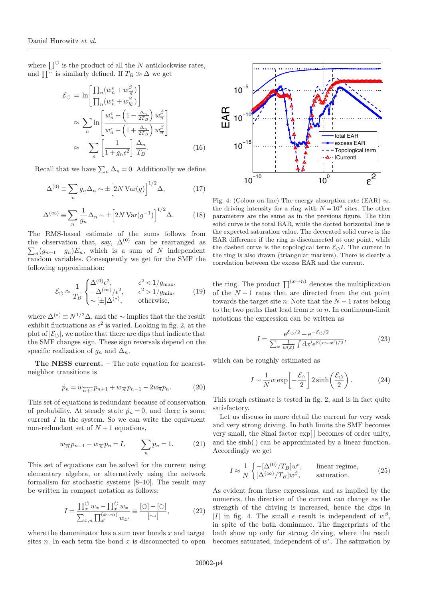where  $\prod^{\circ}$  is the product of all the N anticlockwise rates, and  $\prod^{\circlearrowright}$  is similarly defined. If  $T_B \gg \Delta$  we get

$$
\mathcal{E}_{\circlearrowleft} = \ln \left[ \frac{\prod_{n} (w_n^{\epsilon} + w_{\overrightarrow{n}}^{\beta})}{\prod_{n} (w_n^{\epsilon} + w_{\overrightarrow{n}}^{\beta})} \right] \approx \sum_{n} \ln \left[ \frac{w_n^{\epsilon} + \left(1 - \frac{\Delta_n}{2T_B}\right) w_{\overrightarrow{n}}^{\beta}}{w_n^{\epsilon} + \left(1 + \frac{\Delta_n}{2T_B}\right) w_{\overrightarrow{n}}^{\beta}} \right] \approx - \sum_{n} \left[ \frac{1}{1 + g_n \epsilon^2} \right] \frac{\Delta_n}{T_B}. \tag{16}
$$

Recall that we have  $\sum_{n} \Delta_n = 0$ . Additionally we define

$$
\Delta^{(0)} \equiv \sum_{n} g_n \Delta_n \sim \pm \left[2N \operatorname{Var}(g)\right]^{1/2} \Delta,\tag{17}
$$

$$
\Delta^{(\infty)} \equiv \sum_{n} \frac{1}{g_n} \Delta_n \sim \pm \left[ 2N \operatorname{Var}(g^{-1}) \right]^{1/2} \Delta. \tag{18}
$$

The RMS-based estimate of the sums follows from the observation that, say,  $\Delta^{(0)}$  can be rearranged as  $\sum_{n}(g_{n+1}-g_n)E_n$ , which is a sum of N independent random variables. Consequently we get for the SMF the following approximation:

$$
\mathcal{E}_{\circlearrowleft} \approx \frac{1}{T_B} \begin{cases} \Delta^{(0)} \epsilon^2, & \epsilon^2 < 1/g_{\text{max}},\\ -\Delta^{(\infty)}/\epsilon^2, & \epsilon^2 > 1/g_{\text{min}},\\ \sim [\pm] \Delta^{(*)}, & \text{otherwise}, \end{cases}
$$
(19)

where  $\Delta^{(*)} \equiv N^{1/2} \Delta$ , and the ∼ implies that the the result exhibit fluctuations as  $\epsilon^2$  is varied. Looking in fig. 2, at the plot of  $|\mathcal{E}_{\circ}|$ , we notice that there are dips that indicate that the SMF changes sign. These sign reversals depend on the specific realization of  $g_n$  and  $\Delta_n$ .

The NESS current. – The rate equation for nearestneighbor transitions is

$$
\dot{p}_n = w_{\overline{n+1}} p_{n+1} + w_{\overline{n}} p_{n-1} - 2w_{\overline{n}} p_n.
$$
 (20)

This set of equations is redundant because of conservation of probability. At steady state  $\dot{p}_n = 0$ , and there is some current  $I$  in the system. So we can write the equivalent non-redundant set of  $N+1$  equations,

$$
w_{\overrightarrow{n}}p_{n-1} - w_{\overleftarrow{n}}p_n = I, \qquad \sum_n p_n = 1. \tag{21}
$$

This set of equations can be solved for the current using elementary algebra, or alternatively using the network formalism for stochastic systems [8–10]. The result may be written in compact notation as follows:

$$
I = \frac{\prod_{x}^{\circ} w_x - \prod_{x}^{\circ} w_x}{\sum_{x,n} \prod_{x'}^{(x \sim n)} w_{x'}} \equiv \frac{[\circ] - [\circ]}{[\sim]}, \tag{22}
$$

where the denominator has a sum over bonds  $x$  and target sites  $n$ . In each term the bond  $x$  is disconnected to open



Fig. 4: (Colour on-line) The energy absorption rate (EAR) vs. the driving intensity for a ring with  $N = 10^6$  sites. The other parameters are the same as in the previous figure. The thin solid curve is the total EAR, while the dotted horizontal line is the expected saturation value. The decorated solid curve is the EAR difference if the ring is disconnected at one point, while the dashed curve is the topological term  $\mathcal{E}_{\circlearrowleft}I$ . The current in the ring is also drawn (triangular markers). There is clearly a correlation between the excess EAR and the current.

the ring. The product  $\prod^{(x\rightarrow n)}$  denotes the multiplication of the  $N-1$  rates that are directed from the cut point towards the target site n. Note that the  $N-1$  rates belong to the two paths that lead from  $x$  to  $n$ . In continuum-limit notations the expression can be written as

$$
I = \frac{e^{\mathcal{E}\circ/2} - e^{-\mathcal{E}\circ/2}}{\sum_{x} \frac{1}{w(x)} \int dx' e^{\mathcal{E}(x \sim x')/2}},
$$
(23)

which can be roughly estimated as

$$
I \sim \frac{1}{N} w \exp\left[-\frac{\mathcal{E}_{\cap}}{2}\right] 2 \sinh\left(\frac{\mathcal{E}_{\circlearrowleft}}{2}\right). \tag{24}
$$

This rough estimate is tested in fig. 2, and is in fact quite satisfactory.

Let us discuss in more detail the current for very weak and very strong driving. In both limits the SMF becomes very small, the Sinai factor exp[ ] becomes of order unity, and the sinh( ) can be approximated by a linear function. Accordingly we get

$$
I \approx \frac{1}{N} \begin{cases} -[\Delta^{(0)}/T_B] w^{\epsilon}, & \text{linear regime,} \\ [\Delta^{(\infty)}/T_B] w^{\beta}, & \text{saturation.} \end{cases}
$$
 (25)

As evident from these expressions, and as implied by the numerics, the direction of the current can change as the strength of the driving is increased, hence the dips in |I| in fig. 4. The small  $\epsilon$  result is independent of  $w^{\beta}$ , in spite of the bath dominance. The fingerprints of the bath show up only for strong driving, where the result becomes saturated, independent of  $w^{\epsilon}$ . The saturation by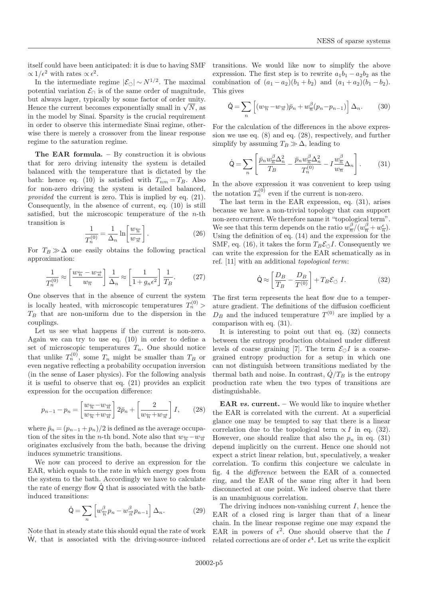itself could have been anticipated: it is due to having SMF  $\propto 1/\epsilon^2$  with rates  $\propto \epsilon^2$ .

In the intermediate regime  $|\mathcal{E}_{\circ}| \sim N^{1/2}$ . The maximal potential variation  $\mathcal{E}_{\cap}$  is of the same order of magnitude, but always lager, typically by some factor of order unity. Hence the current becomes exponentially small in  $\sqrt{N}$ , as in the model by Sinai. Sparsity is the crucial requirement in order to observe this intermediate Sinai regime, otherwise there is merely a crossover from the linear response regime to the saturation regime.

The EAR formula.  $-$  By construction it is obvious that for zero driving intensity the system is detailed balanced with the temperature that is dictated by the bath: hence eq. (10) is satisfied with  $T_{nm} = T_B$ . Also for non-zero driving the system is detailed balanced, provided the current is zero. This is implied by eq. (21). Consequently, in the absence of current, eq. (10) is still satisfied, but the microscopic temperature of the  $n$ -th transition is

$$
\frac{1}{T_n^{(0)}} = \frac{1}{\Delta_n} \ln \left[ \frac{w_{\overline{n}}}{w_{\overrightarrow{n}}} \right].
$$
 (26)

For  $T_B \gg \Delta$  one easily obtains the following practical approximation:

$$
\frac{1}{T_n^{(0)}} \approx \left[\frac{w_{\overline{n}} - w_{\overrightarrow{n}}}{w_{\overline{n}}}\right] \frac{1}{\Delta_n} \approx \left[\frac{1}{1 + g_n \epsilon^2}\right] \frac{1}{T_B}.\tag{27}
$$

One observes that in the absence of current the system is locally heated, with microscopic temperatures  $T_n^{(0)}$  $T_B$  that are non-uniform due to the dispersion in the couplings.

Let us see what happens if the current is non-zero. Again we can try to use eq. (10) in order to define a set of microscopic temperatures  $T_n$ . One should notice that unlike  $T_n^{(0)}$ , some  $T_n$  might be smaller than  $T_B$  or even negative reflecting a probability occupation inversion (in the sense of Laser physics). For the following analysis it is useful to observe that eq. (21) provides an explicit expression for the occupation difference:

$$
p_{n-1} - p_n = \left[\frac{w_{\overline{n}} - w_{\overrightarrow{n}}}{w_{\overline{n}} + w_{\overrightarrow{n}}}\right] 2\bar{p}_n + \left[\frac{2}{w_{\overline{n}} + w_{\overrightarrow{n}}}\right] I,\qquad(28)
$$

where  $\bar{p}_n = (p_{n-1} + p_n)/2$  is defined as the average occupation of the sites in the n-th bond. Note also that  $w_{\overline{n}}-w_{\overrightarrow{n}}$ originates exclusively from the bath, because the driving induces symmetric transitions.

We now can proceed to derive an expression for the EAR, which equals to the rate in which energy goes from the system to the bath. Accordingly we have to calculate the rate of energy flow  $\dot{Q}$  that is associated with the bathinduced transitions:

$$
\dot{\mathbf{Q}} = \sum_{n} \left[ w_{\overline{n}}^{\beta} p_n - w_{\overline{n}}^{\beta} p_{n-1} \right] \Delta_n.
$$
 (29)

Note that in steady state this should equal the rate of work W, that is associated with the driving-source-induced

transitions. We would like now to simplify the above expression. The first step is to rewrite  $a_1b_1 - a_2b_2$  as the combination of  $(a_1 - a_2)(b_1 + b_2)$  and  $(a_1 + a_2)(b_1 - b_2)$ . This gives

$$
\dot{\mathbf{Q}} = \sum_{n} \left[ (w_{\overline{n}} - w_{\overrightarrow{n}}) \bar{p}_n + w_{\overline{n}}^{\beta} (p_n - p_{n-1}) \right] \Delta_n. \tag{30}
$$

For the calculation of the differences in the above expression we use eq. (8) and eq. (28), respectively, and further simplify by assuming  $T_B \gg \Delta$ , leading to

$$
\dot{\mathbf{Q}} = \sum_{n} \left[ \frac{\bar{p}_n w_n^{\beta} \Delta_n^2}{T_B} - \frac{\bar{p}_n w_n^{\beta} \Delta_n^2}{T_n^{(0)}} - I \frac{w_n^{\beta}}{w_n} \Delta_n \right].
$$
 (31)

In the above expression it was convenient to keep using the notation  $T_n^{(0)}$  even if the current is non-zero.

The last term in the EAR expression, eq. (31), arises because we have a non-trivial topology that can support non-zero current. We therefore name it "topological term". We see that this term depends on the ratio  $w_{\overline{n}}^{\beta} / (w_{\overline{n}}^{\beta} + w_{\overline{n}}^{\epsilon})$ . Using the definition of eq. (14) and the expression for the SMF, eq. (16), it takes the form  $T_B \mathcal{E}_\circ I$ . Consequently we can write the expression for the EAR schematically as in ref. [11] with an additional topological term:

$$
\dot{\mathbf{Q}} \approx \left[ \frac{D_B}{T_B} - \frac{D_B}{T^{(0)}} \right] + T_B \mathcal{E}_{\circlearrowleft} I. \tag{32}
$$

The first term represents the heat flow due to a temperature gradient. The definitions of the diffusion coefficient  $D_B$  and the induced temperature  $T^{(0)}$  are implied by a comparison with eq. (31).

It is interesting to point out that eq. (32) connects between the entropy production obtained under different levels of coarse graining [7]. The term  $\mathcal{E}_{\circlearrowleft}I$  is a coarsegrained entropy production for a setup in which one can not distinguish between transitions mediated by the thermal bath and noise. In contrast,  $\dot{Q}/T_B$  is the entropy production rate when the two types of transitions are distinguishable.

EAR  $vs.$  current.  $-$  We would like to inquire whether the EAR is correlated with the current. At a superficial glance one may be tempted to say that there is a linear correlation due to the topological term  $\propto I$  in eq. (32). However, one should realize that also the  $p_n$  in eq. (31) depend implicitly on the current. Hence one should not expect a strict linear relation, but, speculatively, a weaker correlation. To confirm this conjecture we calculate in fig. 4 the difference between the EAR of a connected ring, and the EAR of the same ring after it had been disconnected at one point. We indeed observe that there is an unambiguous correlation.

The driving induces non-vanishing current  $I$ , hence the EAR of a closed ring is larger than that of a linear chain. In the linear response regime one may expand the EAR in powers of  $\epsilon^2$ . One should observe that the I related corrections are of order  $\epsilon^4$ . Let us write the explicit